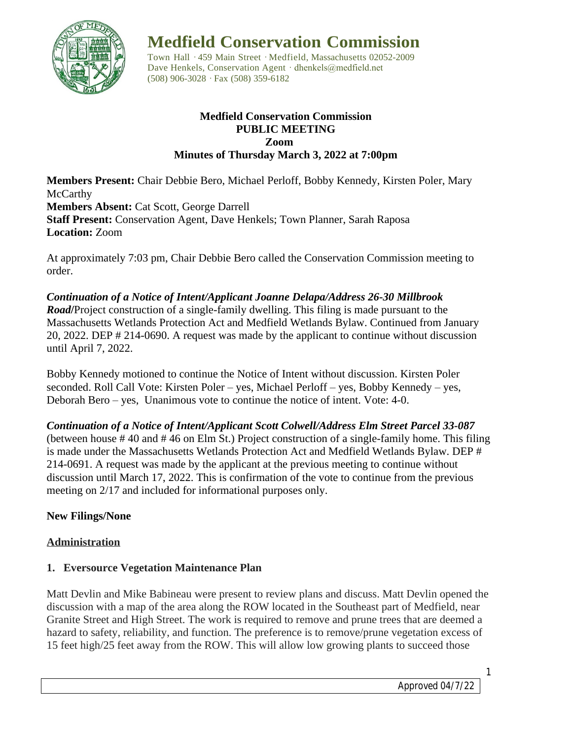

**Medfield Conservation Commission**

Town Hall · 459 Main Street · Medfield, Massachusetts 02052-2009 Dave Henkels, Conservation Agent · dhenkels@medfield.net (508) 906-3028 ·Fax (508) 359-6182

#### **Medfield Conservation Commission PUBLIC MEETING Zoom Minutes of Thursday March 3, 2022 at 7:00pm**

**Members Present:** Chair Debbie Bero, Michael Perloff, Bobby Kennedy, Kirsten Poler, Mary **McCarthy Members Absent:** Cat Scott, George Darrell **Staff Present:** Conservation Agent, Dave Henkels; Town Planner, Sarah Raposa **Location:** Zoom

At approximately 7:03 pm, Chair Debbie Bero called the Conservation Commission meeting to order.

*Continuation of a Notice of Intent/Applicant Joanne Delapa/Address 26-30 Millbrook Road***/**Project construction of a single-family dwelling. This filing is made pursuant to the Massachusetts Wetlands Protection Act and Medfield Wetlands Bylaw. Continued from January 20, 2022. DEP # 214-0690. A request was made by the applicant to continue without discussion until April 7, 2022.

Bobby Kennedy motioned to continue the Notice of Intent without discussion. Kirsten Poler seconded. Roll Call Vote: Kirsten Poler – yes, Michael Perloff – yes, Bobby Kennedy – yes, Deborah Bero – yes, Unanimous vote to continue the notice of intent. Vote: 4-0.

*Continuation of a Notice of Intent/Applicant Scott Colwell/Address Elm Street Parcel 33-087*  (between house # 40 and # 46 on Elm St.) Project construction of a single-family home. This filing is made under the Massachusetts Wetlands Protection Act and Medfield Wetlands Bylaw. DEP # 214-0691. A request was made by the applicant at the previous meeting to continue without discussion until March 17, 2022. This is confirmation of the vote to continue from the previous meeting on 2/17 and included for informational purposes only.

# **New Filings/None**

# **Administration**

# **1. Eversource Vegetation Maintenance Plan**

Matt Devlin and Mike Babineau were present to review plans and discuss. Matt Devlin opened the discussion with a map of the area along the ROW located in the Southeast part of Medfield, near Granite Street and High Street. The work is required to remove and prune trees that are deemed a hazard to safety, reliability, and function. The preference is to remove/prune vegetation excess of 15 feet high/25 feet away from the ROW. This will allow low growing plants to succeed those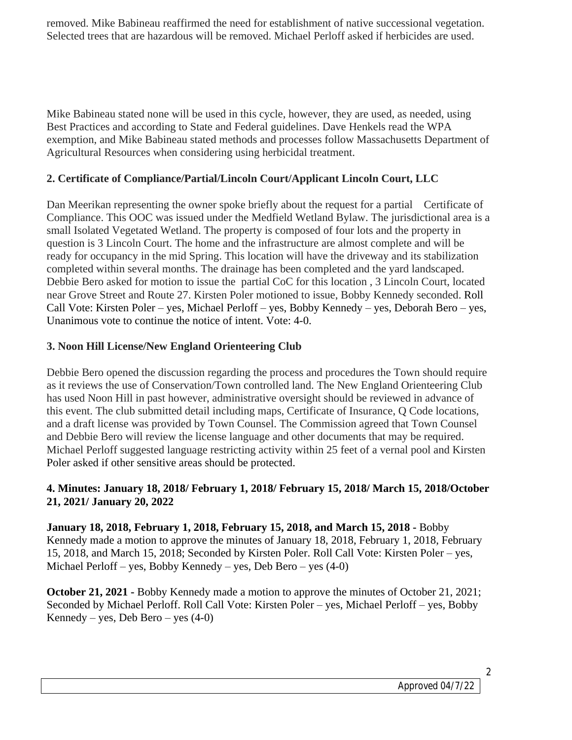removed. Mike Babineau reaffirmed the need for establishment of native successional vegetation. Selected trees that are hazardous will be removed. Michael Perloff asked if herbicides are used.

Mike Babineau stated none will be used in this cycle, however, they are used, as needed, using Best Practices and according to State and Federal guidelines. Dave Henkels read the WPA exemption, and Mike Babineau stated methods and processes follow Massachusetts Department of Agricultural Resources when considering using herbicidal treatment.

## **2. Certificate of Compliance/Partial/Lincoln Court/Applicant Lincoln Court, LLC**

Dan Meerikan representing the owner spoke briefly about the request for a partial Certificate of Compliance. This OOC was issued under the Medfield Wetland Bylaw. The jurisdictional area is a small Isolated Vegetated Wetland. The property is composed of four lots and the property in question is 3 Lincoln Court. The home and the infrastructure are almost complete and will be ready for occupancy in the mid Spring. This location will have the driveway and its stabilization completed within several months. The drainage has been completed and the yard landscaped. Debbie Bero asked for motion to issue the partial CoC for this location , 3 Lincoln Court, located near Grove Street and Route 27. Kirsten Poler motioned to issue, Bobby Kennedy seconded. Roll Call Vote: Kirsten Poler – yes, Michael Perloff – yes, Bobby Kennedy – yes, Deborah Bero – yes, Unanimous vote to continue the notice of intent. Vote: 4-0.

## **3. Noon Hill License/New England Orienteering Club**

Debbie Bero opened the discussion regarding the process and procedures the Town should require as it reviews the use of Conservation/Town controlled land. The New England Orienteering Club has used Noon Hill in past however, administrative oversight should be reviewed in advance of this event. The club submitted detail including maps, Certificate of Insurance, Q Code locations, and a draft license was provided by Town Counsel. The Commission agreed that Town Counsel and Debbie Bero will review the license language and other documents that may be required. Michael Perloff suggested language restricting activity within 25 feet of a vernal pool and Kirsten Poler asked if other sensitive areas should be protected.

## **4. Minutes: January 18, 2018/ February 1, 2018/ February 15, 2018/ March 15, 2018/October 21, 2021/ January 20, 2022**

**January 18, 2018, February 1, 2018, February 15, 2018, and March 15, 2018 -** Bobby Kennedy made a motion to approve the minutes of January 18, 2018, February 1, 2018, February 15, 2018, and March 15, 2018; Seconded by Kirsten Poler. Roll Call Vote: Kirsten Poler – yes, Michael Perloff – yes, Bobby Kennedy – yes, Deb Bero – yes (4-0)

**October 21, 2021 -** Bobby Kennedy made a motion to approve the minutes of October 21, 2021; Seconded by Michael Perloff. Roll Call Vote: Kirsten Poler – yes, Michael Perloff – yes, Bobby Kennedy – yes, Deb Bero – yes  $(4-0)$